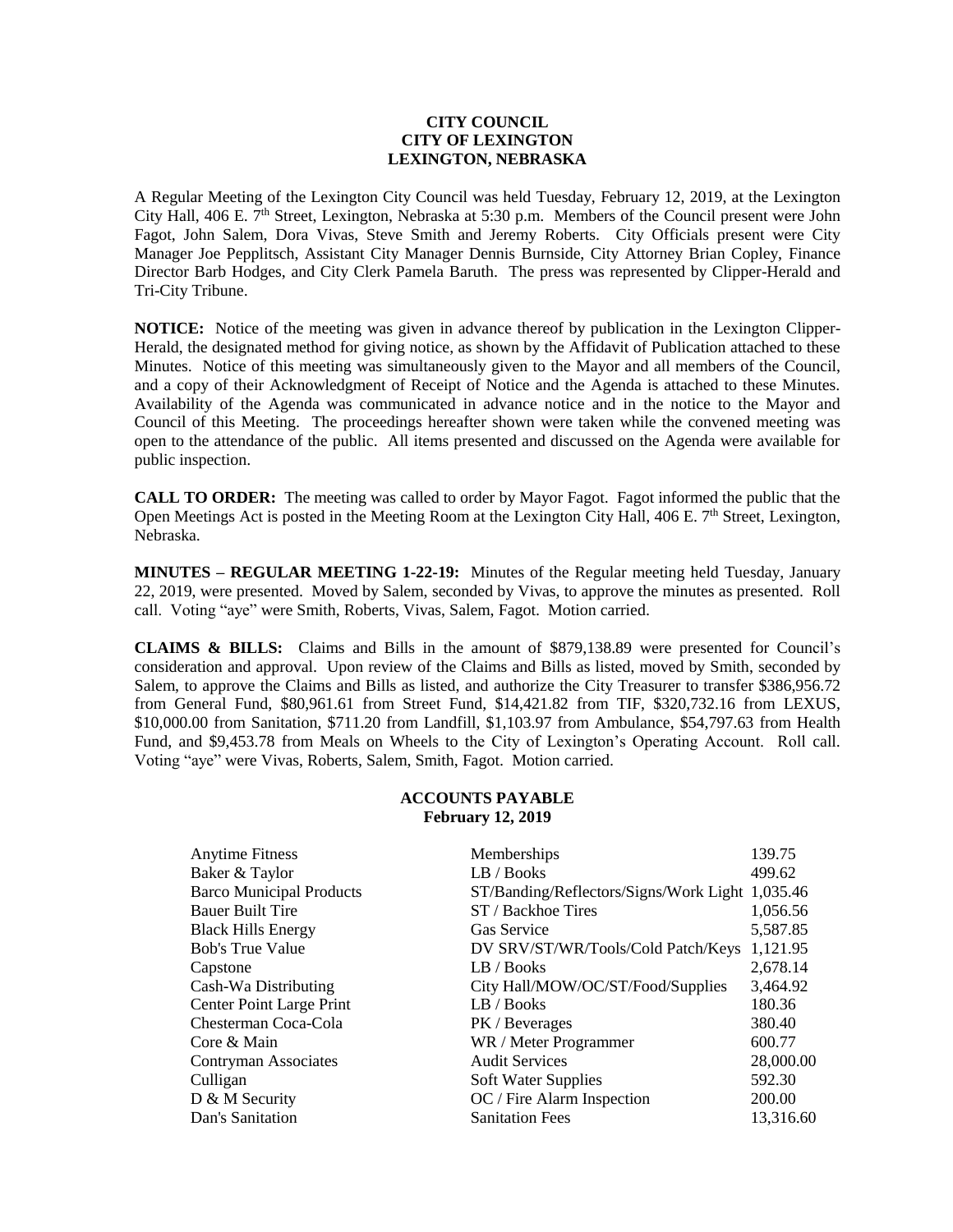## **CITY COUNCIL CITY OF LEXINGTON LEXINGTON, NEBRASKA**

A Regular Meeting of the Lexington City Council was held Tuesday, February 12, 2019, at the Lexington City Hall, 406 E. 7<sup>th</sup> Street, Lexington, Nebraska at 5:30 p.m. Members of the Council present were John Fagot, John Salem, Dora Vivas, Steve Smith and Jeremy Roberts. City Officials present were City Manager Joe Pepplitsch, Assistant City Manager Dennis Burnside, City Attorney Brian Copley, Finance Director Barb Hodges, and City Clerk Pamela Baruth. The press was represented by Clipper-Herald and Tri-City Tribune.

**NOTICE:** Notice of the meeting was given in advance thereof by publication in the Lexington Clipper-Herald, the designated method for giving notice, as shown by the Affidavit of Publication attached to these Minutes. Notice of this meeting was simultaneously given to the Mayor and all members of the Council, and a copy of their Acknowledgment of Receipt of Notice and the Agenda is attached to these Minutes. Availability of the Agenda was communicated in advance notice and in the notice to the Mayor and Council of this Meeting. The proceedings hereafter shown were taken while the convened meeting was open to the attendance of the public. All items presented and discussed on the Agenda were available for public inspection.

**CALL TO ORDER:** The meeting was called to order by Mayor Fagot. Fagot informed the public that the Open Meetings Act is posted in the Meeting Room at the Lexington City Hall,  $406$  E.  $7<sup>th</sup>$  Street, Lexington, Nebraska.

**MINUTES – REGULAR MEETING 1-22-19:** Minutes of the Regular meeting held Tuesday, January 22, 2019, were presented. Moved by Salem, seconded by Vivas, to approve the minutes as presented. Roll call. Voting "aye" were Smith, Roberts, Vivas, Salem, Fagot. Motion carried.

**CLAIMS & BILLS:** Claims and Bills in the amount of \$879,138.89 were presented for Council's consideration and approval. Upon review of the Claims and Bills as listed, moved by Smith, seconded by Salem, to approve the Claims and Bills as listed, and authorize the City Treasurer to transfer \$386,956.72 from General Fund, \$80,961.61 from Street Fund, \$14,421.82 from TIF, \$320,732.16 from LEXUS, \$10,000.00 from Sanitation, \$711.20 from Landfill, \$1,103.97 from Ambulance, \$54,797.63 from Health Fund, and \$9,453.78 from Meals on Wheels to the City of Lexington's Operating Account. Roll call. Voting "aye" were Vivas, Roberts, Salem, Smith, Fagot. Motion carried.

## **ACCOUNTS PAYABLE February 12, 2019**

| Memberships                                     | 139.75    |
|-------------------------------------------------|-----------|
| LB / Books                                      | 499.62    |
| ST/Banding/Reflectors/Signs/Work Light 1,035.46 |           |
| ST / Backhoe Tires                              | 1,056.56  |
| <b>Gas Service</b>                              | 5,587.85  |
| DV SRV/ST/WR/Tools/Cold Patch/Keys              | 1,121.95  |
| LB / Books                                      | 2,678.14  |
| City Hall/MOW/OC/ST/Food/Supplies               | 3,464.92  |
| LB / Books                                      | 180.36    |
| PK / Beverages                                  | 380.40    |
| WR / Meter Programmer                           | 600.77    |
| <b>Audit Services</b>                           | 28,000.00 |
| Soft Water Supplies                             | 592.30    |
| OC / Fire Alarm Inspection                      | 200.00    |
| <b>Sanitation Fees</b>                          | 13,316.60 |
|                                                 |           |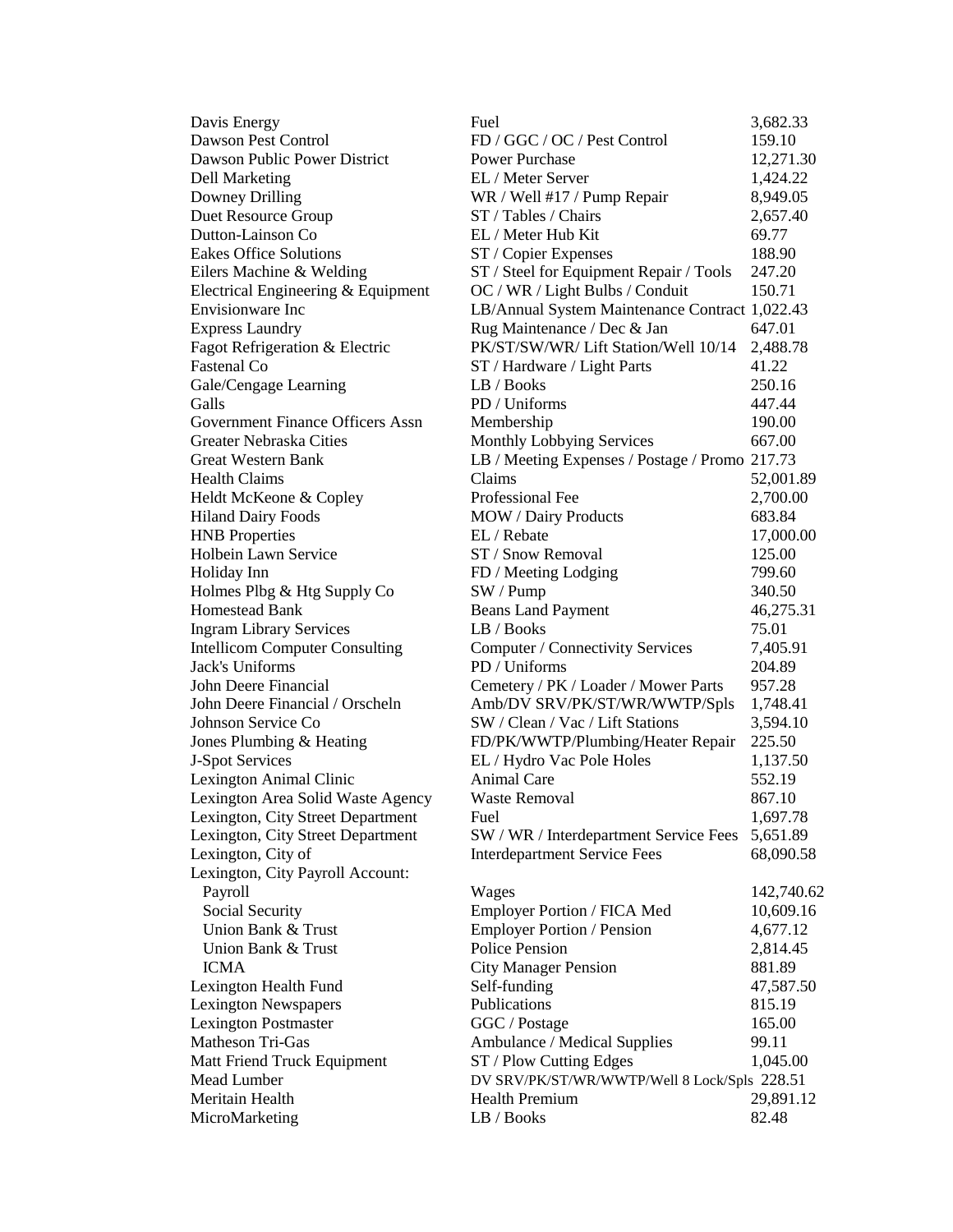| Davis Energy                            | Fuel                                           | 3,682.33   |
|-----------------------------------------|------------------------------------------------|------------|
| <b>Dawson Pest Control</b>              | FD / GGC / OC / Pest Control                   | 159.10     |
| Dawson Public Power District            | <b>Power Purchase</b>                          | 12,271.30  |
| Dell Marketing                          | EL / Meter Server                              | 1,424.22   |
| Downey Drilling                         | WR / Well #17 / Pump Repair                    | 8,949.05   |
| <b>Duet Resource Group</b>              | ST / Tables / Chairs                           | 2,657.40   |
| Dutton-Lainson Co                       | EL / Meter Hub Kit                             | 69.77      |
| <b>Eakes Office Solutions</b>           | ST / Copier Expenses                           | 188.90     |
| Eilers Machine & Welding                | ST / Steel for Equipment Repair / Tools        | 247.20     |
| Electrical Engineering & Equipment      | OC / WR / Light Bulbs / Conduit                | 150.71     |
| Envisionware Inc                        | LB/Annual System Maintenance Contract 1,022.43 |            |
| <b>Express Laundry</b>                  | Rug Maintenance / Dec & Jan                    | 647.01     |
| Fagot Refrigeration & Electric          | PK/ST/SW/WR/ Lift Station/Well 10/14           | 2,488.78   |
| Fastenal Co                             | ST / Hardware / Light Parts                    | 41.22      |
| Gale/Cengage Learning                   | LB / Books                                     | 250.16     |
| Galls                                   | PD / Uniforms                                  | 447.44     |
| <b>Government Finance Officers Assn</b> | Membership                                     | 190.00     |
| Greater Nebraska Cities                 | Monthly Lobbying Services                      | 667.00     |
| <b>Great Western Bank</b>               | LB / Meeting Expenses / Postage / Promo 217.73 |            |
| Health Claims                           | Claims                                         | 52,001.89  |
| Heldt McKeone & Copley                  | Professional Fee                               | 2,700.00   |
| <b>Hiland Dairy Foods</b>               | <b>MOW</b> / Dairy Products                    | 683.84     |
| <b>HNB Properties</b>                   | EL / Rebate                                    | 17,000.00  |
| Holbein Lawn Service                    | ST / Snow Removal                              | 125.00     |
| Holiday Inn                             | FD / Meeting Lodging                           | 799.60     |
| Holmes Plbg & Htg Supply Co             | SW / Pump                                      | 340.50     |
| Homestead Bank                          | <b>Beans Land Payment</b>                      | 46,275.31  |
| <b>Ingram Library Services</b>          | LB / Books                                     | 75.01      |
| <b>Intellicom Computer Consulting</b>   | Computer / Connectivity Services               | 7,405.91   |
| Jack's Uniforms                         | PD / Uniforms                                  | 204.89     |
| John Deere Financial                    | Cemetery / PK / Loader / Mower Parts           | 957.28     |
| John Deere Financial / Orscheln         | Amb/DV SRV/PK/ST/WR/WWTP/Spls                  | 1,748.41   |
| Johnson Service Co                      | SW / Clean / Vac / Lift Stations               | 3,594.10   |
| Jones Plumbing & Heating                | FD/PK/WWTP/Plumbing/Heater Repair              | 225.50     |
| J-Spot Services                         | EL / Hydro Vac Pole Holes                      | 1,137.50   |
| Lexington Animal Clinic                 | <b>Animal Care</b>                             | 552.19     |
| Lexington Area Solid Waste Agency       | <b>Waste Removal</b>                           | 867.10     |
| Lexington, City Street Department       | Fuel                                           | 1,697.78   |
| Lexington, City Street Department       | SW / WR / Interdepartment Service Fees         | 5,651.89   |
| Lexington, City of                      | <b>Interdepartment Service Fees</b>            | 68,090.58  |
| Lexington, City Payroll Account:        |                                                |            |
| Payroll                                 | Wages                                          | 142,740.62 |
| Social Security                         | Employer Portion / FICA Med                    | 10,609.16  |
| Union Bank & Trust                      | <b>Employer Portion / Pension</b>              | 4,677.12   |
| Union Bank & Trust                      | <b>Police Pension</b>                          | 2,814.45   |
| <b>ICMA</b>                             | <b>City Manager Pension</b>                    | 881.89     |
| Lexington Health Fund                   | Self-funding                                   | 47,587.50  |
| <b>Lexington Newspapers</b>             | Publications                                   | 815.19     |
| <b>Lexington Postmaster</b>             | GGC / Postage                                  | 165.00     |
| Matheson Tri-Gas                        | Ambulance / Medical Supplies                   | 99.11      |
| Matt Friend Truck Equipment             | ST / Plow Cutting Edges                        | 1,045.00   |
| Mead Lumber                             | DV SRV/PK/ST/WR/WWTP/Well 8 Lock/Spls 228.51   |            |
| Meritain Health                         | <b>Health Premium</b>                          | 29,891.12  |
| MicroMarketing                          | LB / Books                                     | 82.48      |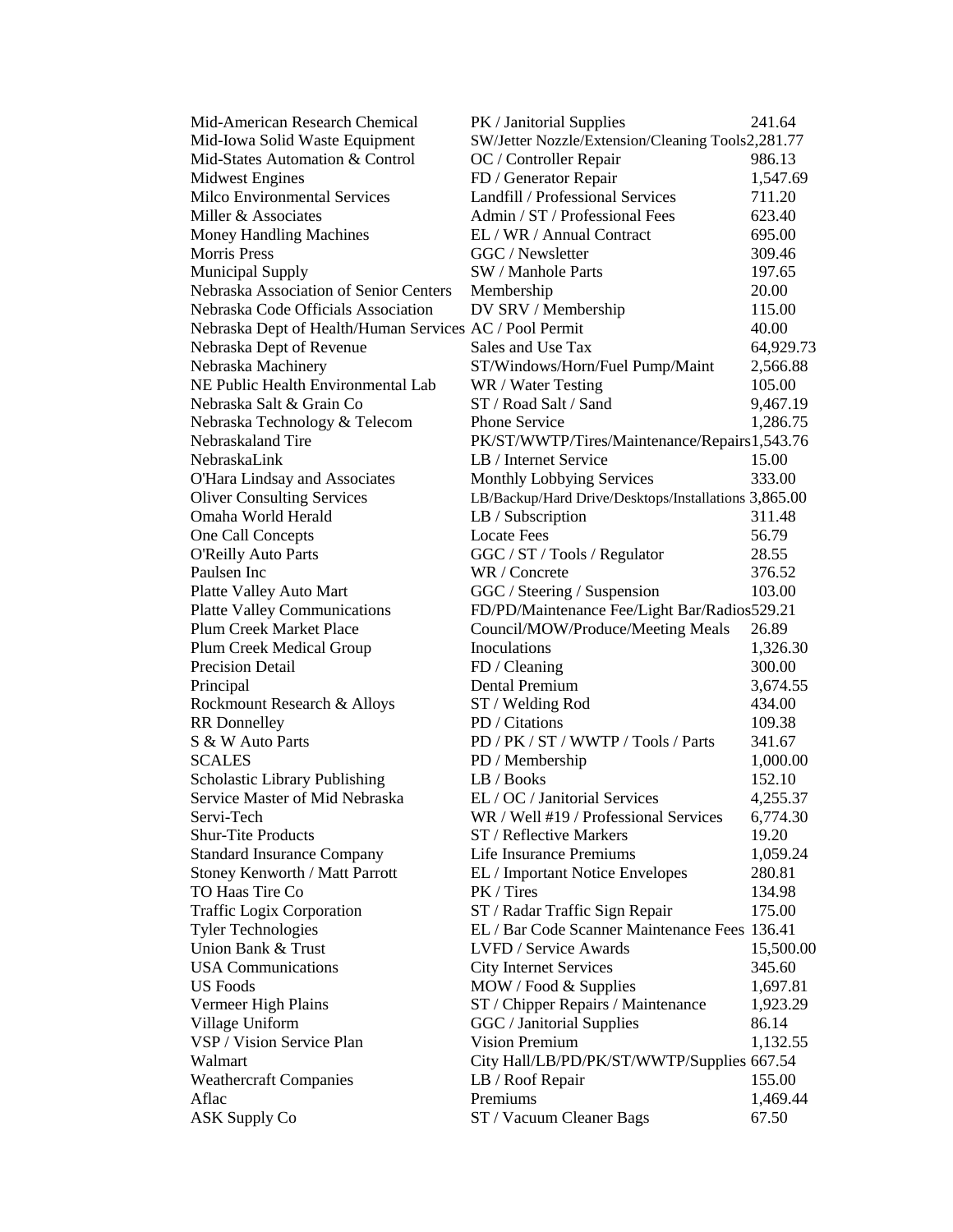| Mid-American Research Chemical                          | PK / Janitorial Supplies                             | 241.64    |
|---------------------------------------------------------|------------------------------------------------------|-----------|
| Mid-Iowa Solid Waste Equipment                          | SW/Jetter Nozzle/Extension/Cleaning Tools2,281.77    |           |
| Mid-States Automation & Control                         | OC / Controller Repair                               | 986.13    |
| <b>Midwest Engines</b>                                  | FD / Generator Repair                                | 1,547.69  |
| Milco Environmental Services                            | Landfill / Professional Services                     | 711.20    |
| Miller & Associates                                     | Admin / ST / Professional Fees                       | 623.40    |
| <b>Money Handling Machines</b>                          | EL / WR / Annual Contract                            | 695.00    |
| <b>Morris Press</b>                                     | GGC / Newsletter                                     | 309.46    |
| <b>Municipal Supply</b>                                 | SW / Manhole Parts                                   | 197.65    |
| Nebraska Association of Senior Centers                  | Membership                                           | 20.00     |
| Nebraska Code Officials Association                     | DV SRV / Membership                                  | 115.00    |
| Nebraska Dept of Health/Human Services AC / Pool Permit |                                                      | 40.00     |
| Nebraska Dept of Revenue                                | Sales and Use Tax                                    | 64,929.73 |
| Nebraska Machinery                                      | ST/Windows/Horn/Fuel Pump/Maint                      | 2,566.88  |
| NE Public Health Environmental Lab                      | WR / Water Testing                                   | 105.00    |
| Nebraska Salt & Grain Co                                | ST / Road Salt / Sand                                | 9,467.19  |
| Nebraska Technology & Telecom                           | Phone Service                                        | 1,286.75  |
| Nebraskaland Tire                                       | PK/ST/WWTP/Tires/Maintenance/Repairs1,543.76         |           |
| NebraskaLink                                            | LB / Internet Service                                | 15.00     |
| O'Hara Lindsay and Associates                           | Monthly Lobbying Services                            | 333.00    |
| <b>Oliver Consulting Services</b>                       | LB/Backup/Hard Drive/Desktops/Installations 3,865.00 |           |
| Omaha World Herald                                      | LB / Subscription                                    | 311.48    |
| One Call Concepts                                       | <b>Locate Fees</b>                                   | 56.79     |
| <b>O'Reilly Auto Parts</b>                              | GGC / ST / Tools / Regulator                         | 28.55     |
| Paulsen Inc                                             | WR / Concrete                                        | 376.52    |
| Platte Valley Auto Mart                                 | GGC / Steering / Suspension                          | 103.00    |
| <b>Platte Valley Communications</b>                     | FD/PD/Maintenance Fee/Light Bar/Radios529.21         |           |
| <b>Plum Creek Market Place</b>                          | Council/MOW/Produce/Meeting Meals                    | 26.89     |
|                                                         | Inoculations                                         |           |
| Plum Creek Medical Group                                |                                                      | 1,326.30  |
| Precision Detail                                        | FD / Cleaning<br>Dental Premium                      | 300.00    |
| Principal                                               |                                                      | 3,674.55  |
| Rockmount Research & Alloys                             | ST / Welding Rod                                     | 434.00    |
| <b>RR</b> Donnelley                                     | PD / Citations                                       | 109.38    |
| S & W Auto Parts                                        | PD / PK / ST / WWTP / Tools / Parts                  | 341.67    |
| <b>SCALES</b>                                           | PD / Membership                                      | 1,000.00  |
| Scholastic Library Publishing                           | LB / Books                                           | 152.10    |
| Service Master of Mid Nebraska                          | EL / OC / Janitorial Services                        | 4,255.37  |
| Servi-Tech                                              | WR / Well #19 / Professional Services                | 6,774.30  |
| <b>Shur-Tite Products</b>                               | ST / Reflective Markers                              | 19.20     |
| <b>Standard Insurance Company</b>                       | Life Insurance Premiums                              | 1,059.24  |
| Stoney Kenworth / Matt Parrott                          | EL / Important Notice Envelopes                      | 280.81    |
| TO Haas Tire Co                                         | PK / Tires                                           | 134.98    |
| <b>Traffic Logix Corporation</b>                        | ST / Radar Traffic Sign Repair                       | 175.00    |
| <b>Tyler Technologies</b>                               | EL / Bar Code Scanner Maintenance Fees 136.41        |           |
| Union Bank & Trust                                      | LVFD / Service Awards                                | 15,500.00 |
| <b>USA Communications</b>                               | <b>City Internet Services</b>                        | 345.60    |
| <b>US</b> Foods                                         | MOW / Food & Supplies                                | 1,697.81  |
| Vermeer High Plains                                     | ST / Chipper Repairs / Maintenance                   | 1,923.29  |
| Village Uniform                                         | GGC / Janitorial Supplies                            | 86.14     |
| VSP / Vision Service Plan                               | <b>Vision Premium</b>                                | 1,132.55  |
| Walmart                                                 | City Hall/LB/PD/PK/ST/WWTP/Supplies 667.54           |           |
| <b>Weathercraft Companies</b>                           | LB / Roof Repair                                     | 155.00    |
| Aflac                                                   | Premiums                                             | 1,469.44  |
| <b>ASK Supply Co</b>                                    | ST / Vacuum Cleaner Bags                             | 67.50     |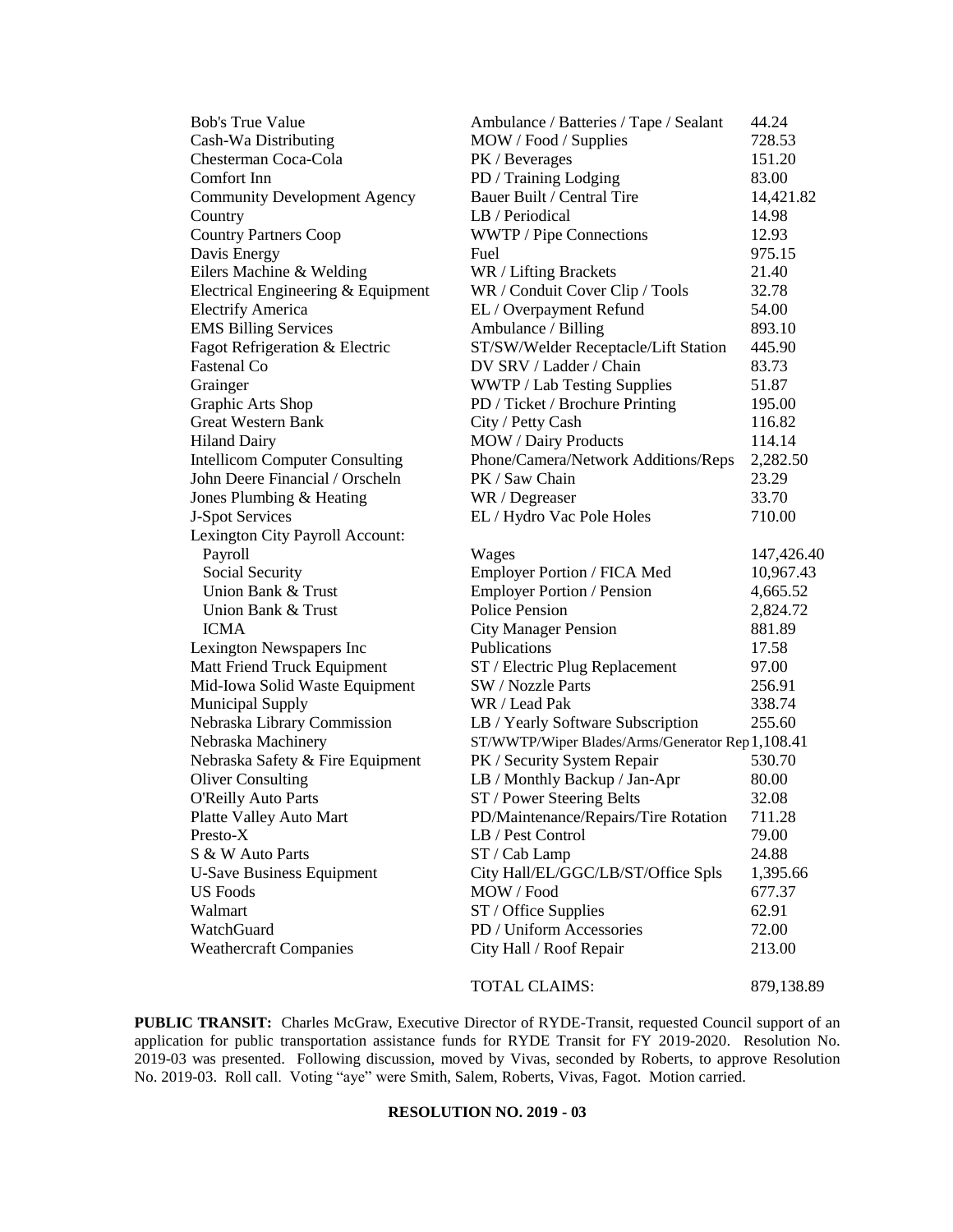|                                                        | Ambulance / Batteries / Tape / Sealant                     | 44.24              |
|--------------------------------------------------------|------------------------------------------------------------|--------------------|
| Cash-Wa Distributing                                   | MOW / Food / Supplies                                      | 728.53             |
| Chesterman Coca-Cola                                   | PK / Beverages                                             | 151.20             |
| Comfort Inn                                            | PD / Training Lodging                                      | 83.00              |
| <b>Community Development Agency</b>                    | Bauer Built / Central Tire                                 | 14,421.82          |
| Country                                                | LB / Periodical                                            | 14.98              |
| <b>Country Partners Coop</b>                           | WWTP / Pipe Connections                                    | 12.93              |
| Davis Energy                                           | Fuel                                                       | 975.15             |
| Eilers Machine & Welding                               | WR / Lifting Brackets                                      | 21.40              |
| Electrical Engineering & Equipment                     | WR / Conduit Cover Clip / Tools                            | 32.78              |
| <b>Electrify America</b>                               | EL / Overpayment Refund                                    | 54.00              |
| <b>EMS Billing Services</b>                            | Ambulance / Billing                                        | 893.10             |
| Fagot Refrigeration & Electric                         | ST/SW/Welder Receptacle/Lift Station                       | 445.90             |
| Fastenal Co                                            | DV SRV / Ladder / Chain                                    | 83.73              |
| Grainger                                               | WWTP / Lab Testing Supplies                                | 51.87              |
| Graphic Arts Shop                                      | PD / Ticket / Brochure Printing                            | 195.00             |
| <b>Great Western Bank</b>                              | City / Petty Cash                                          | 116.82             |
| <b>Hiland Dairy</b>                                    | MOW / Dairy Products                                       | 114.14             |
| <b>Intellicom Computer Consulting</b>                  | Phone/Camera/Network Additions/Reps                        | 2,282.50           |
| John Deere Financial / Orscheln                        | PK / Saw Chain                                             | 23.29              |
| Jones Plumbing & Heating                               | WR / Degreaser                                             | 33.70              |
| J-Spot Services                                        | EL / Hydro Vac Pole Holes                                  | 710.00             |
| Lexington City Payroll Account:                        |                                                            |                    |
| Payroll                                                | Wages                                                      | 147,426.40         |
|                                                        |                                                            |                    |
|                                                        |                                                            |                    |
| Social Security<br>Union Bank & Trust                  | Employer Portion / FICA Med                                | 10,967.43          |
| Union Bank & Trust                                     | <b>Employer Portion / Pension</b><br><b>Police Pension</b> | 4,665.52           |
| <b>ICMA</b>                                            |                                                            | 2,824.72<br>881.89 |
|                                                        | <b>City Manager Pension</b><br>Publications                | 17.58              |
| Lexington Newspapers Inc                               |                                                            |                    |
| Matt Friend Truck Equipment                            | ST / Electric Plug Replacement<br>SW / Nozzle Parts        | 97.00              |
| Mid-Iowa Solid Waste Equipment                         | WR / Lead Pak                                              | 256.91             |
| <b>Municipal Supply</b>                                |                                                            | 338.74             |
| Nebraska Library Commission                            | LB / Yearly Software Subscription                          | 255.60             |
| Nebraska Machinery                                     | ST/WWTP/Wiper Blades/Arms/Generator Rep1,108.41            | 530.70             |
| Nebraska Safety & Fire Equipment                       | PK / Security System Repair                                |                    |
| <b>Oliver Consulting</b><br><b>O'Reilly Auto Parts</b> | LB / Monthly Backup / Jan-Apr                              | 80.00<br>32.08     |
|                                                        | ST / Power Steering Belts                                  | 711.28             |
| Platte Valley Auto Mart<br>Presto-X                    | PD/Maintenance/Repairs/Tire Rotation<br>LB / Pest Control  | 79.00              |
| S & W Auto Parts                                       |                                                            | 24.88              |
|                                                        | ST / Cab Lamp                                              |                    |
| <b>U-Save Business Equipment</b><br><b>US</b> Foods    | City Hall/EL/GGC/LB/ST/Office Spls<br>MOW / Food           | 1,395.66<br>677.37 |
|                                                        |                                                            |                    |
| Walmart<br>WatchGuard                                  | ST / Office Supplies<br>PD / Uniform Accessories           | 62.91<br>72.00     |
| <b>Weathercraft Companies</b>                          | City Hall / Roof Repair                                    | 213.00             |

TOTAL CLAIMS: 879,138.89

**PUBLIC TRANSIT:** Charles McGraw, Executive Director of RYDE-Transit, requested Council support of an application for public transportation assistance funds for RYDE Transit for FY 2019-2020. Resolution No. 2019-03 was presented. Following discussion, moved by Vivas, seconded by Roberts, to approve Resolution No. 2019-03. Roll call. Voting "aye" were Smith, Salem, Roberts, Vivas, Fagot. Motion carried.

## **RESOLUTION NO. 2019 - 03**